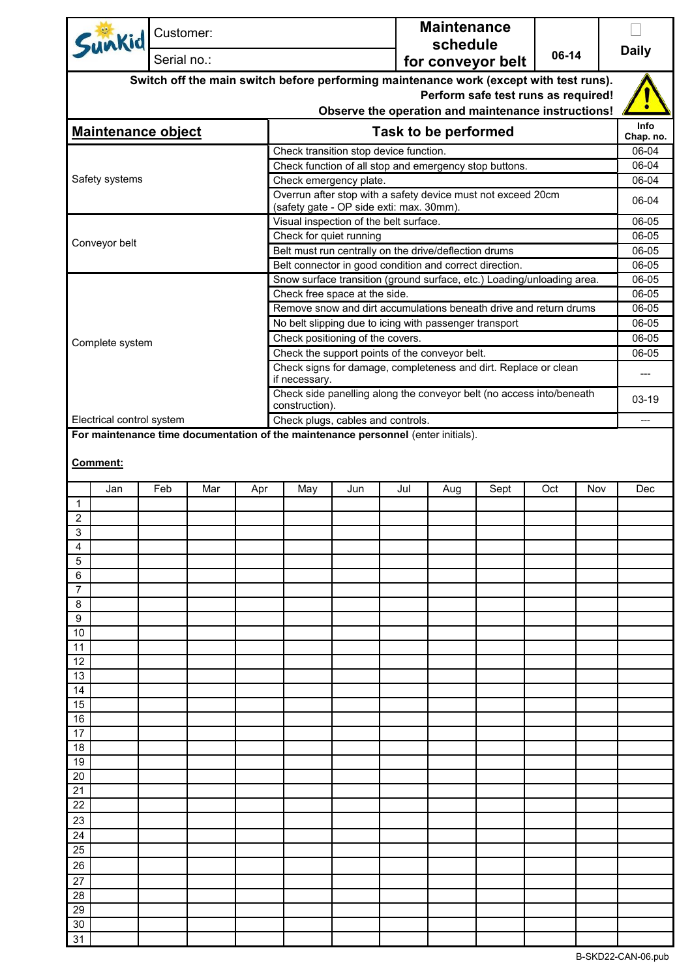|                                                                                        | Customer:                                                                                          |     |                                                       |                                                                                                          |     |     | <b>Maintenance</b> |                |     |     |              |  |
|----------------------------------------------------------------------------------------|----------------------------------------------------------------------------------------------------|-----|-------------------------------------------------------|----------------------------------------------------------------------------------------------------------|-----|-----|--------------------|----------------|-----|-----|--------------|--|
| Sunkid                                                                                 |                                                                                                    |     |                                                       |                                                                                                          |     |     | schedule           |                |     |     | <b>Daily</b> |  |
|                                                                                        | Serial no.:                                                                                        |     | 06-14<br>for conveyor belt                            |                                                                                                          |     |     |                    |                |     |     |              |  |
| Switch off the main switch before performing maintenance work (except with test runs). |                                                                                                    |     |                                                       |                                                                                                          |     |     |                    |                |     |     |              |  |
| Perform safe test runs as required!                                                    |                                                                                                    |     |                                                       |                                                                                                          |     |     |                    |                |     |     |              |  |
| Observe the operation and maintenance instructions!                                    |                                                                                                    |     |                                                       |                                                                                                          |     |     |                    |                |     |     | Info         |  |
| <b>Maintenance object</b>                                                              |                                                                                                    |     |                                                       | <b>Task to be performed</b>                                                                              |     |     |                    |                |     |     |              |  |
|                                                                                        |                                                                                                    |     |                                                       | Check transition stop device function.                                                                   |     |     |                    |                |     |     | 06-04        |  |
|                                                                                        |                                                                                                    |     |                                                       | Check function of all stop and emergency stop buttons.                                                   |     |     |                    |                |     |     |              |  |
| Safety systems                                                                         |                                                                                                    |     |                                                       | Check emergency plate.                                                                                   |     |     |                    |                |     |     |              |  |
|                                                                                        |                                                                                                    |     |                                                       | Overrun after stop with a safety device must not exceed 20cm<br>(safety gate - OP side exti: max. 30mm). |     |     |                    |                |     |     |              |  |
|                                                                                        |                                                                                                    |     |                                                       | Visual inspection of the belt surface.                                                                   |     |     |                    |                |     |     | 06-05        |  |
|                                                                                        |                                                                                                    |     |                                                       | Check for quiet running                                                                                  |     |     |                    |                |     |     | 06-05        |  |
| Conveyor belt                                                                          |                                                                                                    |     | Belt must run centrally on the drive/deflection drums |                                                                                                          |     |     |                    |                |     |     |              |  |
|                                                                                        |                                                                                                    |     |                                                       | Belt connector in good condition and correct direction.                                                  |     |     |                    |                |     |     | 06-05        |  |
|                                                                                        |                                                                                                    |     |                                                       | Snow surface transition (ground surface, etc.) Loading/unloading area.                                   |     |     |                    |                |     |     | 06-05        |  |
|                                                                                        | Check free space at the side.<br>Remove snow and dirt accumulations beneath drive and return drums |     |                                                       |                                                                                                          |     |     |                    | 06-05<br>06-05 |     |     |              |  |
|                                                                                        | No belt slipping due to icing with passenger transport                                             |     |                                                       |                                                                                                          |     |     |                    | 06-05          |     |     |              |  |
| Complete system                                                                        |                                                                                                    |     |                                                       | Check positioning of the covers.                                                                         |     |     |                    |                |     |     | 06-05        |  |
|                                                                                        |                                                                                                    |     |                                                       | Check the support points of the conveyor belt.                                                           |     |     |                    |                |     |     | 06-05        |  |
|                                                                                        |                                                                                                    |     |                                                       | Check signs for damage, completeness and dirt. Replace or clean                                          |     |     |                    |                |     |     | ---          |  |
| if necessary.<br>Check side panelling along the conveyor belt (no access into/beneath  |                                                                                                    |     |                                                       |                                                                                                          |     |     |                    |                |     |     |              |  |
|                                                                                        |                                                                                                    |     |                                                       | construction).                                                                                           |     |     |                    |                |     |     | $03-19$      |  |
|                                                                                        | Electrical control system<br>Check plugs, cables and controls.                                     |     |                                                       |                                                                                                          |     |     |                    |                | --- |     |              |  |
| For maintenance time documentation of the maintenance personnel (enter initials).      |                                                                                                    |     |                                                       |                                                                                                          |     |     |                    |                |     |     |              |  |
| Comment:                                                                               |                                                                                                    |     |                                                       |                                                                                                          |     |     |                    |                |     |     |              |  |
| Jan                                                                                    | Feb                                                                                                | Mar | Apr                                                   | May                                                                                                      | Jun | Jul | Aug                | Sept           | Oct | Nov | Dec          |  |
| $\mathbf{1}$                                                                           |                                                                                                    |     |                                                       |                                                                                                          |     |     |                    |                |     |     |              |  |
| $\overline{c}$                                                                         |                                                                                                    |     |                                                       |                                                                                                          |     |     |                    |                |     |     |              |  |
| 3<br>4                                                                                 |                                                                                                    |     |                                                       |                                                                                                          |     |     |                    |                |     |     |              |  |
| 5                                                                                      |                                                                                                    |     |                                                       |                                                                                                          |     |     |                    |                |     |     |              |  |
| 6                                                                                      |                                                                                                    |     |                                                       |                                                                                                          |     |     |                    |                |     |     |              |  |
| 7                                                                                      |                                                                                                    |     |                                                       |                                                                                                          |     |     |                    |                |     |     |              |  |
| 8                                                                                      |                                                                                                    |     |                                                       |                                                                                                          |     |     |                    |                |     |     |              |  |
| 9<br>10                                                                                |                                                                                                    |     |                                                       |                                                                                                          |     |     |                    |                |     |     |              |  |
| 11                                                                                     |                                                                                                    |     |                                                       |                                                                                                          |     |     |                    |                |     |     |              |  |
| 12                                                                                     |                                                                                                    |     |                                                       |                                                                                                          |     |     |                    |                |     |     |              |  |
| 13                                                                                     |                                                                                                    |     |                                                       |                                                                                                          |     |     |                    |                |     |     |              |  |
| 14                                                                                     |                                                                                                    |     |                                                       |                                                                                                          |     |     |                    |                |     |     |              |  |
| 15                                                                                     |                                                                                                    |     |                                                       |                                                                                                          |     |     |                    |                |     |     |              |  |
| 16<br>17                                                                               |                                                                                                    |     |                                                       |                                                                                                          |     |     |                    |                |     |     |              |  |
| 18                                                                                     |                                                                                                    |     |                                                       |                                                                                                          |     |     |                    |                |     |     |              |  |
| 19                                                                                     |                                                                                                    |     |                                                       |                                                                                                          |     |     |                    |                |     |     |              |  |
| 20                                                                                     |                                                                                                    |     |                                                       |                                                                                                          |     |     |                    |                |     |     |              |  |
| 21                                                                                     |                                                                                                    |     |                                                       |                                                                                                          |     |     |                    |                |     |     |              |  |
| 22                                                                                     |                                                                                                    |     |                                                       |                                                                                                          |     |     |                    |                |     |     |              |  |
| 23                                                                                     |                                                                                                    |     |                                                       |                                                                                                          |     |     |                    |                |     |     |              |  |
| 24<br>25                                                                               |                                                                                                    |     |                                                       |                                                                                                          |     |     |                    |                |     |     |              |  |
| 26                                                                                     |                                                                                                    |     |                                                       |                                                                                                          |     |     |                    |                |     |     |              |  |
| 27                                                                                     |                                                                                                    |     |                                                       |                                                                                                          |     |     |                    |                |     |     |              |  |
| 28                                                                                     |                                                                                                    |     |                                                       |                                                                                                          |     |     |                    |                |     |     |              |  |
| 29                                                                                     |                                                                                                    |     |                                                       |                                                                                                          |     |     |                    |                |     |     |              |  |
| 30                                                                                     |                                                                                                    |     |                                                       |                                                                                                          |     |     |                    |                |     |     |              |  |
| 31                                                                                     |                                                                                                    |     |                                                       |                                                                                                          |     |     |                    |                |     |     |              |  |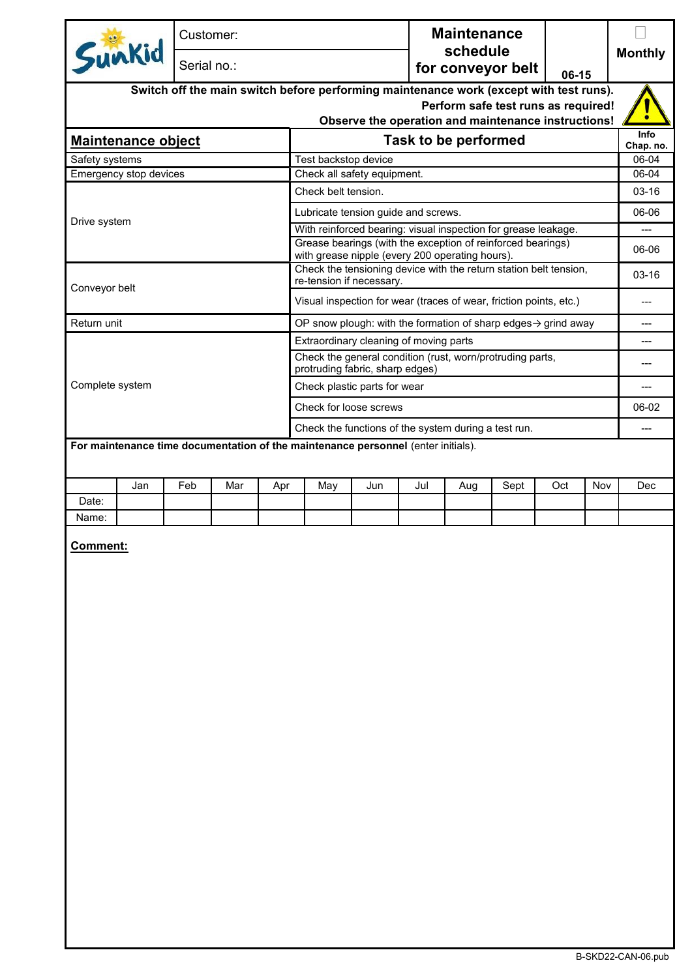|                                                                                            |                           | Customer:   |     |     |                                                                                                                |     | <b>Maintenance</b>            |                      |      |                |     |                   |
|--------------------------------------------------------------------------------------------|---------------------------|-------------|-----|-----|----------------------------------------------------------------------------------------------------------------|-----|-------------------------------|----------------------|------|----------------|-----|-------------------|
| Sunkid                                                                                     |                           | Serial no.: |     |     |                                                                                                                |     | schedule<br>for conveyor belt | 06-15                |      | <b>Monthly</b> |     |                   |
|                                                                                            |                           |             |     |     | Switch off the main switch before performing maintenance work (except with test runs).                         |     |                               |                      |      |                |     |                   |
| Perform safe test runs as required!<br>Observe the operation and maintenance instructions! |                           |             |     |     |                                                                                                                |     |                               |                      |      |                |     |                   |
|                                                                                            | <b>Maintenance object</b> |             |     |     |                                                                                                                |     |                               | Task to be performed |      |                |     | Info<br>Chap. no. |
| Safety systems                                                                             |                           |             |     |     | Test backstop device                                                                                           |     |                               |                      |      |                |     | 06-04             |
|                                                                                            | Emergency stop devices    |             |     |     | Check all safety equipment.                                                                                    |     |                               |                      |      |                |     | 06-04             |
|                                                                                            |                           |             |     |     | Check belt tension.                                                                                            |     |                               |                      |      |                |     | $03 - 16$         |
|                                                                                            |                           |             |     |     | Lubricate tension guide and screws.                                                                            |     |                               |                      |      |                |     | 06-06             |
| Drive system                                                                               |                           |             |     |     | With reinforced bearing: visual inspection for grease leakage.                                                 |     |                               |                      |      |                |     | $---$             |
|                                                                                            |                           |             |     |     | Grease bearings (with the exception of reinforced bearings)<br>with grease nipple (every 200 operating hours). |     |                               |                      |      |                |     | 06-06             |
|                                                                                            |                           |             |     |     | Check the tensioning device with the return station belt tension,<br>re-tension if necessary.                  |     |                               |                      |      |                |     | 03-16             |
| Conveyor belt                                                                              |                           |             |     |     | Visual inspection for wear (traces of wear, friction points, etc.)                                             |     |                               |                      |      |                |     |                   |
| Return unit                                                                                |                           |             |     |     | OP snow plough: with the formation of sharp edges $\rightarrow$ grind away                                     |     |                               |                      |      |                |     | ---               |
|                                                                                            |                           |             |     |     | Extraordinary cleaning of moving parts                                                                         |     |                               |                      |      |                |     | ---               |
|                                                                                            |                           |             |     |     | Check the general condition (rust, worn/protruding parts,<br>protruding fabric, sharp edges)                   |     |                               |                      |      |                |     | ---               |
| Complete system                                                                            |                           |             |     |     | Check plastic parts for wear                                                                                   |     |                               |                      |      |                |     |                   |
|                                                                                            |                           |             |     |     | Check for loose screws                                                                                         |     |                               |                      |      |                |     |                   |
|                                                                                            |                           |             |     |     | Check the functions of the system during a test run.                                                           |     |                               |                      |      |                |     |                   |
|                                                                                            |                           |             |     |     | For maintenance time documentation of the maintenance personnel (enter initials).                              |     |                               |                      |      |                |     |                   |
|                                                                                            |                           |             |     |     |                                                                                                                |     |                               |                      |      |                |     |                   |
|                                                                                            | Jan                       | Feb         | Mar | Apr | May                                                                                                            | Jun | Jul                           | Aug                  | Sept | Oct            | Nov | Dec               |
| Date:                                                                                      |                           |             |     |     |                                                                                                                |     |                               |                      |      |                |     |                   |
| Name:                                                                                      |                           |             |     |     |                                                                                                                |     |                               |                      |      |                |     |                   |
|                                                                                            | Comment:                  |             |     |     |                                                                                                                |     |                               |                      |      |                |     |                   |
|                                                                                            |                           |             |     |     |                                                                                                                |     |                               |                      |      |                |     |                   |
|                                                                                            |                           |             |     |     |                                                                                                                |     |                               |                      |      |                |     |                   |
|                                                                                            |                           |             |     |     |                                                                                                                |     |                               |                      |      |                |     |                   |
|                                                                                            |                           |             |     |     |                                                                                                                |     |                               |                      |      |                |     |                   |
|                                                                                            |                           |             |     |     |                                                                                                                |     |                               |                      |      |                |     |                   |
|                                                                                            |                           |             |     |     |                                                                                                                |     |                               |                      |      |                |     |                   |
|                                                                                            |                           |             |     |     |                                                                                                                |     |                               |                      |      |                |     |                   |
|                                                                                            |                           |             |     |     |                                                                                                                |     |                               |                      |      |                |     |                   |
|                                                                                            |                           |             |     |     |                                                                                                                |     |                               |                      |      |                |     |                   |
|                                                                                            |                           |             |     |     |                                                                                                                |     |                               |                      |      |                |     |                   |
|                                                                                            |                           |             |     |     |                                                                                                                |     |                               |                      |      |                |     |                   |
|                                                                                            |                           |             |     |     |                                                                                                                |     |                               |                      |      |                |     |                   |
|                                                                                            |                           |             |     |     |                                                                                                                |     |                               |                      |      |                |     |                   |
|                                                                                            |                           |             |     |     |                                                                                                                |     |                               |                      |      |                |     |                   |
|                                                                                            |                           |             |     |     |                                                                                                                |     |                               |                      |      |                |     |                   |
|                                                                                            |                           |             |     |     |                                                                                                                |     |                               |                      |      |                |     |                   |
|                                                                                            |                           |             |     |     |                                                                                                                |     |                               |                      |      |                |     |                   |